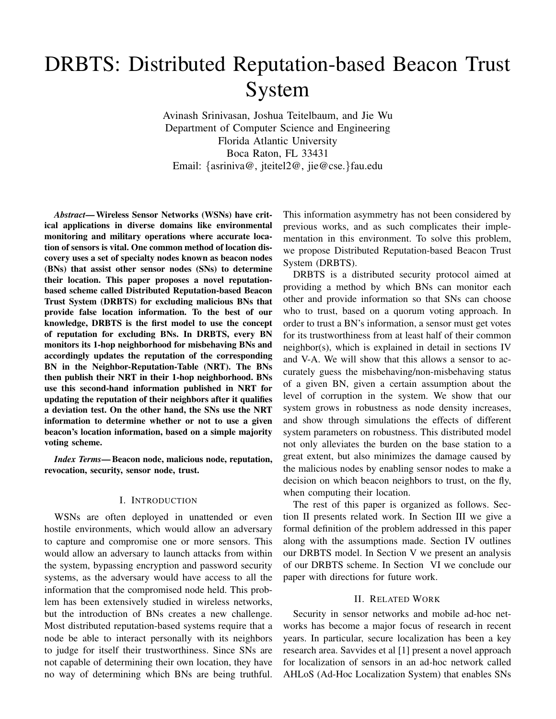# DRBTS: Distributed Reputation-based Beacon Trust System

Avinash Srinivasan, Joshua Teitelbaum, and Jie Wu Department of Computer Science and Engineering Florida Atlantic University Boca Raton, FL 33431 Email: {asriniva@, jteitel2@, jie@cse.}fau.edu

*Abstract*— Wireless Sensor Networks (WSNs) have critical applications in diverse domains like environmental monitoring and military operations where accurate location of sensors is vital. One common method of location discovery uses a set of specialty nodes known as beacon nodes (BNs) that assist other sensor nodes (SNs) to determine their location. This paper proposes a novel reputationbased scheme called Distributed Reputation-based Beacon Trust System (DRBTS) for excluding malicious BNs that provide false location information. To the best of our knowledge, DRBTS is the first model to use the concept of reputation for excluding BNs. In DRBTS, every BN monitors its 1-hop neighborhood for misbehaving BNs and accordingly updates the reputation of the corresponding BN in the Neighbor-Reputation-Table (NRT). The BNs then publish their NRT in their 1-hop neighborhood. BNs use this second-hand information published in NRT for updating the reputation of their neighbors after it qualifies a deviation test. On the other hand, the SNs use the NRT information to determine whether or not to use a given beacon's location information, based on a simple majority voting scheme.

*Index Terms*— Beacon node, malicious node, reputation, revocation, security, sensor node, trust.

#### I. INTRODUCTION

WSNs are often deployed in unattended or even hostile environments, which would allow an adversary to capture and compromise one or more sensors. This would allow an adversary to launch attacks from within the system, bypassing encryption and password security systems, as the adversary would have access to all the information that the compromised node held. This problem has been extensively studied in wireless networks, but the introduction of BNs creates a new challenge. Most distributed reputation-based systems require that a node be able to interact personally with its neighbors to judge for itself their trustworthiness. Since SNs are not capable of determining their own location, they have no way of determining which BNs are being truthful. This information asymmetry has not been considered by previous works, and as such complicates their implementation in this environment. To solve this problem, we propose Distributed Reputation-based Beacon Trust System (DRBTS).

DRBTS is a distributed security protocol aimed at providing a method by which BNs can monitor each other and provide information so that SNs can choose who to trust, based on a quorum voting approach. In order to trust a BN's information, a sensor must get votes for its trustworthiness from at least half of their common neighbor(s), which is explained in detail in sections IV and V-A. We will show that this allows a sensor to accurately guess the misbehaving/non-misbehaving status of a given BN, given a certain assumption about the level of corruption in the system. We show that our system grows in robustness as node density increases, and show through simulations the effects of different system parameters on robustness. This distributed model not only alleviates the burden on the base station to a great extent, but also minimizes the damage caused by the malicious nodes by enabling sensor nodes to make a decision on which beacon neighbors to trust, on the fly, when computing their location.

The rest of this paper is organized as follows. Section II presents related work. In Section III we give a formal definition of the problem addressed in this paper along with the assumptions made. Section IV outlines our DRBTS model. In Section V we present an analysis of our DRBTS scheme. In Section VI we conclude our paper with directions for future work.

#### II. RELATED WORK

Security in sensor networks and mobile ad-hoc networks has become a major focus of research in recent years. In particular, secure localization has been a key research area. Savvides et al [1] present a novel approach for localization of sensors in an ad-hoc network called AHLoS (Ad-Hoc Localization System) that enables SNs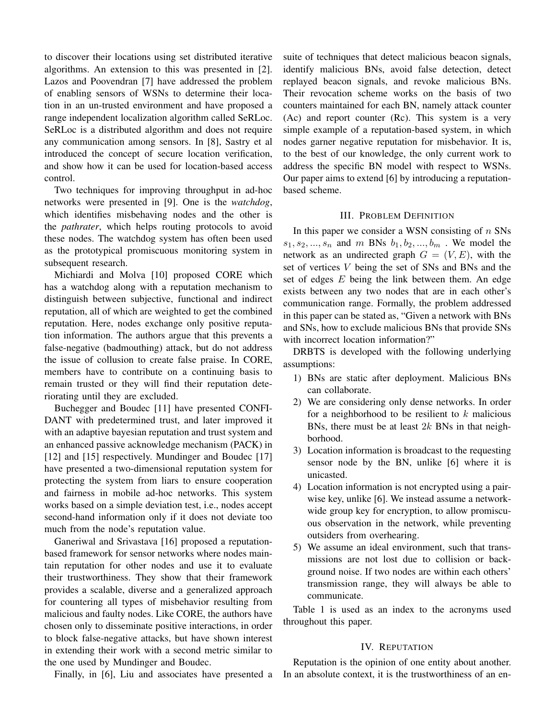to discover their locations using set distributed iterative algorithms. An extension to this was presented in [2]. Lazos and Poovendran [7] have addressed the problem of enabling sensors of WSNs to determine their location in an un-trusted environment and have proposed a range independent localization algorithm called SeRLoc. SeRLoc is a distributed algorithm and does not require any communication among sensors. In [8], Sastry et al introduced the concept of secure location verification, and show how it can be used for location-based access control.

Two techniques for improving throughput in ad-hoc networks were presented in [9]. One is the *watchdog*, which identifies misbehaving nodes and the other is the *pathrater*, which helps routing protocols to avoid these nodes. The watchdog system has often been used as the prototypical promiscuous monitoring system in subsequent research.

Michiardi and Molva [10] proposed CORE which has a watchdog along with a reputation mechanism to distinguish between subjective, functional and indirect reputation, all of which are weighted to get the combined reputation. Here, nodes exchange only positive reputation information. The authors argue that this prevents a false-negative (badmouthing) attack, but do not address the issue of collusion to create false praise. In CORE, members have to contribute on a continuing basis to remain trusted or they will find their reputation deteriorating until they are excluded.

Buchegger and Boudec [11] have presented CONFI-DANT with predetermined trust, and later improved it with an adaptive bayesian reputation and trust system and an enhanced passive acknowledge mechanism (PACK) in [12] and [15] respectively. Mundinger and Boudec [17] have presented a two-dimensional reputation system for protecting the system from liars to ensure cooperation and fairness in mobile ad-hoc networks. This system works based on a simple deviation test, i.e., nodes accept second-hand information only if it does not deviate too much from the node's reputation value.

Ganeriwal and Srivastava [16] proposed a reputationbased framework for sensor networks where nodes maintain reputation for other nodes and use it to evaluate their trustworthiness. They show that their framework provides a scalable, diverse and a generalized approach for countering all types of misbehavior resulting from malicious and faulty nodes. Like CORE, the authors have chosen only to disseminate positive interactions, in order to block false-negative attacks, but have shown interest in extending their work with a second metric similar to the one used by Mundinger and Boudec.

Finally, in [6], Liu and associates have presented a

suite of techniques that detect malicious beacon signals, identify malicious BNs, avoid false detection, detect replayed beacon signals, and revoke malicious BNs. Their revocation scheme works on the basis of two counters maintained for each BN, namely attack counter (Ac) and report counter (Rc). This system is a very simple example of a reputation-based system, in which nodes garner negative reputation for misbehavior. It is, to the best of our knowledge, the only current work to address the specific BN model with respect to WSNs. Our paper aims to extend [6] by introducing a reputationbased scheme.

#### III. PROBLEM DEFINITION

In this paper we consider a WSN consisting of  $n$  SNs  $s_1, s_2, ..., s_n$  and m BNs  $b_1, b_2, ..., b_m$ . We model the network as an undirected graph  $G = (V, E)$ , with the set of vertices V being the set of SNs and BNs and the set of edges  $E$  being the link between them. An edge exists between any two nodes that are in each other's communication range. Formally, the problem addressed in this paper can be stated as, "Given a network with BNs and SNs, how to exclude malicious BNs that provide SNs with incorrect location information?"

DRBTS is developed with the following underlying assumptions:

- 1) BNs are static after deployment. Malicious BNs can collaborate.
- 2) We are considering only dense networks. In order for a neighborhood to be resilient to  $k$  malicious BNs, there must be at least  $2k$  BNs in that neighborhood.
- 3) Location information is broadcast to the requesting sensor node by the BN, unlike [6] where it is unicasted.
- 4) Location information is not encrypted using a pairwise key, unlike [6]. We instead assume a networkwide group key for encryption, to allow promiscuous observation in the network, while preventing outsiders from overhearing.
- 5) We assume an ideal environment, such that transmissions are not lost due to collision or background noise. If two nodes are within each others' transmission range, they will always be able to communicate.

Table 1 is used as an index to the acronyms used throughout this paper.

#### IV. REPUTATION

Reputation is the opinion of one entity about another. In an absolute context, it is the trustworthiness of an en-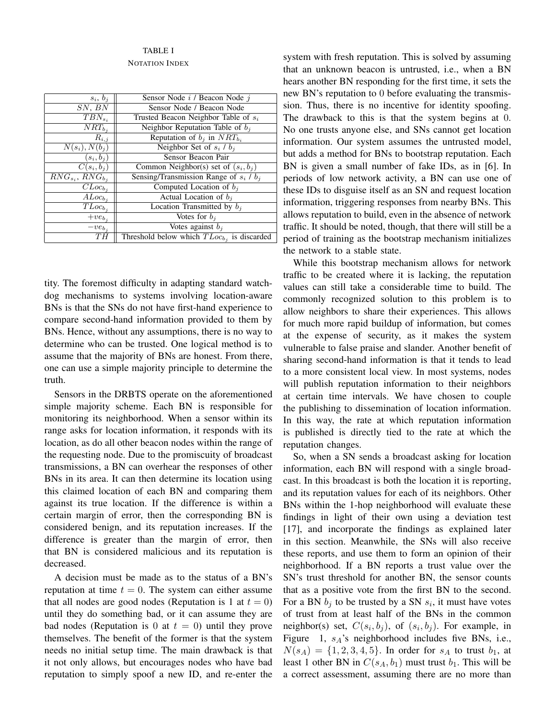# TABLE I

#### NOTATION INDEX

| $s_i, b_i$              | Sensor Node i / Beacon Node j                       |  |  |  |  |
|-------------------------|-----------------------------------------------------|--|--|--|--|
|                         |                                                     |  |  |  |  |
| SN, BN                  | Sensor Node / Beacon Node                           |  |  |  |  |
| $TBN_{s_i}$             | Trusted Beacon Neighbor Table of $s_i$              |  |  |  |  |
| $\overline{NRT}_{b,i}$  | Neighbor Reputation Table of $b_i$                  |  |  |  |  |
| $R_{i,j}$               | Reputation of $b_j$ in $NRT_{b_i}$                  |  |  |  |  |
| $N(s_i), N(b_i)$        | Neighbor Set of $s_i$ / $b_i$<br>Sensor Beacon Pair |  |  |  |  |
| $(s_i,b_i)$             |                                                     |  |  |  |  |
| $C(s_i,b_i)$            | Common Neighbor(s) set of $(s_i, b_j)$              |  |  |  |  |
| $RNG_{s_i}, RNG_{b_i}$  | Sensing/Transmission Range of $s_i$ / $b_j$         |  |  |  |  |
| $CLoc_{b_i}$            | Computed Location of $b_i$                          |  |  |  |  |
| $ALoc_{b_i}$            | Actual Location of $b_i$                            |  |  |  |  |
| $\overline{TLoc}_{b_i}$ | Location Transmitted by $b_i$                       |  |  |  |  |
| $+ve_{b_i}$             | Votes for $b_i$                                     |  |  |  |  |
| $-ve_{b_i}$             | Votes against $b_i$                                 |  |  |  |  |
| TH                      | Threshold below which $TLoc_{b_i}$ is discarded     |  |  |  |  |

tity. The foremost difficulty in adapting standard watchdog mechanisms to systems involving location-aware BNs is that the SNs do not have first-hand experience to compare second-hand information provided to them by BNs. Hence, without any assumptions, there is no way to determine who can be trusted. One logical method is to assume that the majority of BNs are honest. From there, one can use a simple majority principle to determine the truth.

Sensors in the DRBTS operate on the aforementioned simple majority scheme. Each BN is responsible for monitoring its neighborhood. When a sensor within its range asks for location information, it responds with its location, as do all other beacon nodes within the range of the requesting node. Due to the promiscuity of broadcast transmissions, a BN can overhear the responses of other BNs in its area. It can then determine its location using this claimed location of each BN and comparing them against its true location. If the difference is within a certain margin of error, then the corresponding BN is considered benign, and its reputation increases. If the difference is greater than the margin of error, then that BN is considered malicious and its reputation is decreased.

A decision must be made as to the status of a BN's reputation at time  $t = 0$ . The system can either assume that all nodes are good nodes (Reputation is 1 at  $t = 0$ ) until they do something bad, or it can assume they are bad nodes (Reputation is 0 at  $t = 0$ ) until they prove themselves. The benefit of the former is that the system needs no initial setup time. The main drawback is that it not only allows, but encourages nodes who have bad reputation to simply spoof a new ID, and re-enter the

system with fresh reputation. This is solved by assuming that an unknown beacon is untrusted, i.e., when a BN hears another BN responding for the first time, it sets the new BN's reputation to 0 before evaluating the transmission. Thus, there is no incentive for identity spoofing. The drawback to this is that the system begins at 0. No one trusts anyone else, and SNs cannot get location information. Our system assumes the untrusted model, but adds a method for BNs to bootstrap reputation. Each BN is given a small number of fake IDs, as in [6]. In periods of low network activity, a BN can use one of these IDs to disguise itself as an SN and request location information, triggering responses from nearby BNs. This allows reputation to build, even in the absence of network traffic. It should be noted, though, that there will still be a period of training as the bootstrap mechanism initializes the network to a stable state.

While this bootstrap mechanism allows for network traffic to be created where it is lacking, the reputation values can still take a considerable time to build. The commonly recognized solution to this problem is to allow neighbors to share their experiences. This allows for much more rapid buildup of information, but comes at the expense of security, as it makes the system vulnerable to false praise and slander. Another benefit of sharing second-hand information is that it tends to lead to a more consistent local view. In most systems, nodes will publish reputation information to their neighbors at certain time intervals. We have chosen to couple the publishing to dissemination of location information. In this way, the rate at which reputation information is published is directly tied to the rate at which the reputation changes.

So, when a SN sends a broadcast asking for location information, each BN will respond with a single broadcast. In this broadcast is both the location it is reporting, and its reputation values for each of its neighbors. Other BNs within the 1-hop neighborhood will evaluate these findings in light of their own using a deviation test [17], and incorporate the findings as explained later in this section. Meanwhile, the SNs will also receive these reports, and use them to form an opinion of their neighborhood. If a BN reports a trust value over the SN's trust threshold for another BN, the sensor counts that as a positive vote from the first BN to the second. For a BN  $b_j$  to be trusted by a SN  $s_i$ , it must have votes of trust from at least half of the BNs in the common neighbor(s) set,  $C(s_i, b_j)$ , of  $(s_i, b_j)$ . For example, in Figure 1,  $s_A$ 's neighborhood includes five BNs, i.e.,  $N(s_A) = \{1, 2, 3, 4, 5\}$ . In order for  $s_A$  to trust  $b_1$ , at least 1 other BN in  $C(s_A, b_1)$  must trust  $b_1$ . This will be a correct assessment, assuming there are no more than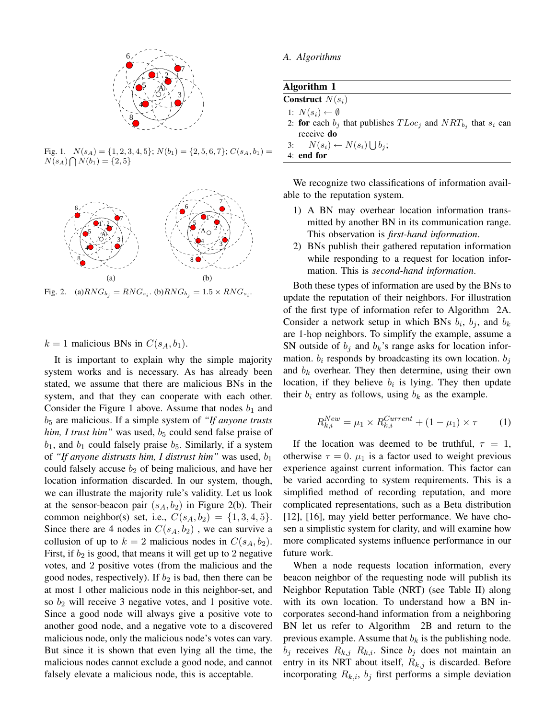

Fig. 1.  $N(s_A) = \{1, 2, 3, 4, 5\}$ ;  $N(b_1) = \{2, 5, 6, 7\}$ ;  $C(s_A, b_1) = \{2, 5, 6, 7\}$  $N(s_A) \bigcap N(b_1) = \{2, 5\}$ 



Fig. 2. (a) $RNG_{b_j} = RNG_{s_i}$ . (b) $RNG_{b_j} = 1.5 \times RNG_{s_i}$ .

# $k = 1$  malicious BNs in  $C(s_A, b_1)$ .

It is important to explain why the simple majority system works and is necessary. As has already been stated, we assume that there are malicious BNs in the system, and that they can cooperate with each other. Consider the Figure 1 above. Assume that nodes  $b_1$  and b<sup>5</sup> are malicious. If a simple system of *"If anyone trusts him, I trust him*" was used,  $b_5$  could send false praise of  $b_1$ , and  $b_1$  could falsely praise  $b_5$ . Similarly, if a system of "If anyone distrusts him, I distrust him" was used, b<sub>1</sub> could falsely accuse  $b_2$  of being malicious, and have her location information discarded. In our system, though, we can illustrate the majority rule's validity. Let us look at the sensor-beacon pair  $(s_A, b_2)$  in Figure 2(b). Their common neighbor(s) set, i.e.,  $C(s_A, b_2) = \{1, 3, 4, 5\}.$ Since there are 4 nodes in  $C(s_A, b_2)$ , we can survive a collusion of up to  $k = 2$  malicious nodes in  $C(s_A, b_2)$ . First, if  $b_2$  is good, that means it will get up to 2 negative votes, and 2 positive votes (from the malicious and the good nodes, respectively). If  $b_2$  is bad, then there can be at most 1 other malicious node in this neighbor-set, and so  $b_2$  will receive 3 negative votes, and 1 positive vote. Since a good node will always give a positive vote to another good node, and a negative vote to a discovered malicious node, only the malicious node's votes can vary. But since it is shown that even lying all the time, the malicious nodes cannot exclude a good node, and cannot falsely elevate a malicious node, this is acceptable.

*A. Algorithms*

# Algorithm 1

Construct  $N(s_i)$ 

1:  $N(s_i) \leftarrow \emptyset$ 

2: for each  $b_j$  that publishes  $TLoc_j$  and  $NRT_{b_j}$  that  $s_i$  can receive do

s:  $N(s_i) \leftarrow N(s_i) \bigcup b_j;$ 

4: end for

We recognize two classifications of information available to the reputation system.

- 1) A BN may overhear location information transmitted by another BN in its communication range. This observation is *first-hand information*.
- 2) BNs publish their gathered reputation information while responding to a request for location information. This is *second-hand information*.

Both these types of information are used by the BNs to update the reputation of their neighbors. For illustration of the first type of information refer to Algorithm 2A. Consider a network setup in which BNs  $b_i$ ,  $b_j$ , and  $b_k$ are 1-hop neighbors. To simplify the example, assume a SN outside of  $b_i$  and  $b_k$ 's range asks for location information.  $b_i$  responds by broadcasting its own location.  $b_i$ and  $b_k$  overhear. They then determine, using their own location, if they believe  $b_i$  is lying. They then update their  $b_i$  entry as follows, using  $b_k$  as the example.

$$
R_{k,i}^{New} = \mu_1 \times R_{k,i}^{Current} + (1 - \mu_1) \times \tau \tag{1}
$$

If the location was deemed to be truthful,  $\tau = 1$ , otherwise  $\tau = 0$ .  $\mu_1$  is a factor used to weight previous experience against current information. This factor can be varied according to system requirements. This is a simplified method of recording reputation, and more complicated representations, such as a Beta distribution [12], [16], may yield better performance. We have chosen a simplistic system for clarity, and will examine how more complicated systems influence performance in our future work.

When a node requests location information, every beacon neighbor of the requesting node will publish its Neighbor Reputation Table (NRT) (see Table II) along with its own location. To understand how a BN incorporates second-hand information from a neighboring BN let us refer to Algorithm 2B and return to the previous example. Assume that  $b_k$  is the publishing node.  $b_i$  receives  $R_{k,i}$   $R_{k,i}$ . Since  $b_i$  does not maintain an entry in its NRT about itself,  $R_{k,j}$  is discarded. Before incorporating  $R_{k,i}$ ,  $b_j$  first performs a simple deviation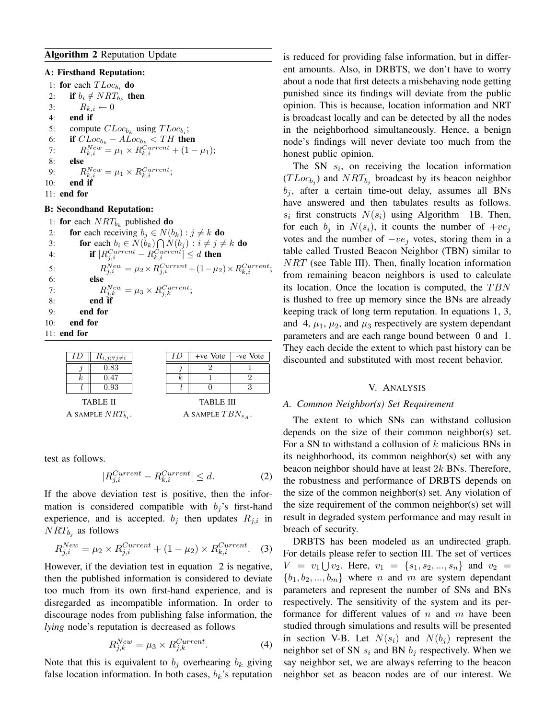# Algorithm 2 Reputation Update

A: Firsthand Reputation: 1: for each  $TLoc_{b_i}$  do 2: if  $b_i \notin NRT_{b_k}$  then 3:  $R_{k,i} \leftarrow 0$ 4: end if 5: compute  $CLoc_{b_k}$  using  $TLoc_{b_i}$ ; 6: if  $CLoc_{b_k} - ALoc_{b_k} < TH$  then 7:  $R_{k,i}^{New} = \mu_1 \times R_{k,i}^{Current} + (1 - \mu_1);$ 8: else 9:  $R_{k,i}^{New} = \mu_1 \times R_{k,i}^{Current};$ 10: end if 11: end for

# B: Secondhand Reputation:

1: for each  $NRT_{b_k}$  published do 2: **for** each receiving  $b_j \in N(b_k)$ :  $j \neq k$  **do** 3: **for** each  $b_i \in N(b_k) \cap N(b_j)$  :  $i \neq j \neq k$  **do** 4: **if**  $|R_{j,i}^{Current} - R_{k,i}^{Current}| \le d$  then 5:  $R_{j,i}^{New} = \mu_2 \times R_{j,i}^{Current} + (1 - \mu_2) \times R_{k,i}^{Current};$ 6: else 7:  $R_{j,k}^{New} = \mu_3 \times R_{j,k}^{Current};$ 8: end if 9: end for 10: end for 11: end for

|                 | $R_{i,j;\forall j\neq i}$ |                  |  | +ve Vote | -ve Vote |
|-----------------|---------------------------|------------------|--|----------|----------|
|                 | 0.83                      |                  |  |          |          |
| κ               | 0.47                      |                  |  |          |          |
|                 | 0.93                      |                  |  |          |          |
| <b>TABLE II</b> |                           | <b>TABLE III</b> |  |          |          |

A SAMPLE  $NRT_{b_i}$ .

test as follows.

$$
|R_{j,i}^{Current} - R_{k,i}^{Current}| \le d. \tag{2}
$$

A SAMPLE  $TBN_{s_A}$ .

If the above deviation test is positive, then the information is considered compatible with  $b_i$ 's first-hand experience, and is accepted.  $b_j$  then updates  $R_{j,i}$  in  $NRT_{b_j}$  as follows

$$
R_{j,i}^{New} = \mu_2 \times R_{j,i}^{Current} + (1 - \mu_2) \times R_{k,i}^{Current}.
$$
 (3)

However, if the deviation test in equation 2 is negative, then the published information is considered to deviate too much from its own first-hand experience, and is disregarded as incompatible information. In order to discourage nodes from publishing false information, the *lying* node's reputation is decreased as follows

$$
R_{j,k}^{New} = \mu_3 \times R_{j,k}^{Current}.
$$
 (4)

Note that this is equivalent to  $b_j$  overhearing  $b_k$  giving false location information. In both cases,  $b_k$ 's reputation is reduced for providing false information, but in different amounts. Also, in DRBTS, we don't have to worry about a node that first detects a misbehaving node getting punished since its findings will deviate from the public opinion. This is because, location information and NRT is broadcast locally and can be detected by all the nodes in the neighborhood simultaneously. Hence, a benign node's findings will never deviate too much from the honest public opinion.

The SN  $s_i$ , on receiving the location information  $(TLoc_{b_j})$  and  $NRT_{b_j}$  broadcast by its beacon neighbor  $b_i$ , after a certain time-out delay, assumes all BNs have answered and then tabulates results as follows.  $s_i$  first constructs  $N(s_i)$  using Algorithm 1B. Then, for each  $b_j$  in  $N(s_i)$ , it counts the number of  $+ve_j$ votes and the number of  $-ve_j$  votes, storing them in a table called Trusted Beacon Neighbor (TBN) similar to NRT (see Table III). Then, finally location information from remaining beacon neighbors is used to calculate its location. Once the location is computed, the  $TBN$ is flushed to free up memory since the BNs are already keeping track of long term reputation. In equations 1, 3, and 4,  $\mu_1$ ,  $\mu_2$ , and  $\mu_3$  respectively are system dependant parameters and are each range bound between 0 and 1. They each decide the extent to which past history can be discounted and substituted with most recent behavior.

## V. ANALYSIS

## *A. Common Neighbor(s) Set Requirement*

The extent to which SNs can withstand collusion depends on the size of their common neighbor(s) set. For a SN to withstand a collusion of  $k$  malicious BNs in its neighborhood, its common neighbor(s) set with any beacon neighbor should have at least 2k BNs. Therefore, the robustness and performance of DRBTS depends on the size of the common neighbor(s) set. Any violation of the size requirement of the common neighbor(s) set will result in degraded system performance and may result in breach of security.

DRBTS has been modeled as an undirected graph. For details please refer to section III. The set of vertices  $V = v_1 \bigcup v_2$ . Here,  $v_1 = \{s_1, s_2, ..., s_n\}$  and  $v_2 =$  ${b_1, b_2, ..., b_m}$  where *n* and *m* are system dependant parameters and represent the number of SNs and BNs respectively. The sensitivity of the system and its performance for different values of  $n$  and  $m$  have been studied through simulations and results will be presented in section V-B. Let  $N(s_i)$  and  $N(b_j)$  represent the neighbor set of SN  $s_i$  and BN  $b_j$  respectively. When we say neighbor set, we are always referring to the beacon neighbor set as beacon nodes are of our interest. We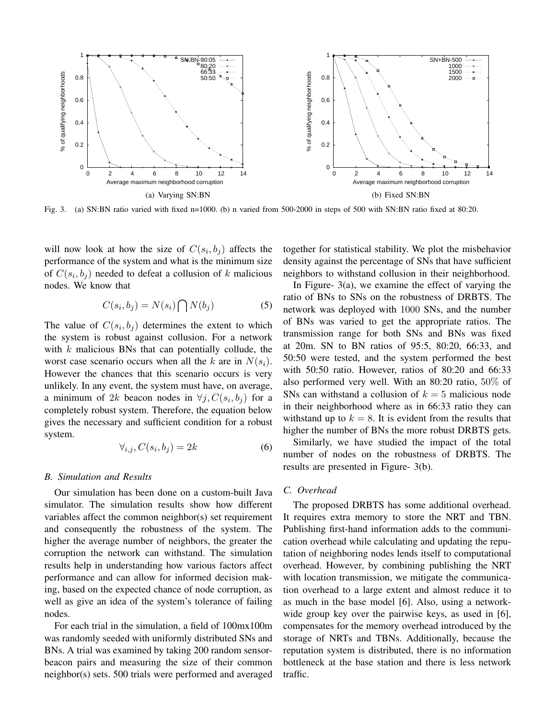

Fig. 3. (a) SN:BN ratio varied with fixed n=1000. (b) n varied from 500-2000 in steps of 500 with SN:BN ratio fixed at 80:20.

will now look at how the size of  $C(s_i, b_j)$  affects the performance of the system and what is the minimum size of  $C(s_i, b_j)$  needed to defeat a collusion of k malicious nodes. We know that

$$
C(s_i, b_j) = N(s_i) \bigcap N(b_j)
$$
 (5)

The value of  $C(s_i, b_j)$  determines the extent to which the system is robust against collusion. For a network with  $k$  malicious BNs that can potentially collude, the worst case scenario occurs when all the k are in  $N(s_i)$ . However the chances that this scenario occurs is very unlikely. In any event, the system must have, on average, a minimum of 2k beacon nodes in  $\forall j, C(s_i, b_j)$  for a completely robust system. Therefore, the equation below gives the necessary and sufficient condition for a robust system.

$$
\forall_{i,j}, C(s_i, b_j) = 2k \tag{6}
$$

#### *B. Simulation and Results*

Our simulation has been done on a custom-built Java simulator. The simulation results show how different variables affect the common neighbor(s) set requirement and consequently the robustness of the system. The higher the average number of neighbors, the greater the corruption the network can withstand. The simulation results help in understanding how various factors affect performance and can allow for informed decision making, based on the expected chance of node corruption, as well as give an idea of the system's tolerance of failing nodes.

For each trial in the simulation, a field of 100mx100m was randomly seeded with uniformly distributed SNs and BNs. A trial was examined by taking 200 random sensorbeacon pairs and measuring the size of their common neighbor(s) sets. 500 trials were performed and averaged together for statistical stability. We plot the misbehavior density against the percentage of SNs that have sufficient neighbors to withstand collusion in their neighborhood.

In Figure-  $3(a)$ , we examine the effect of varying the ratio of BNs to SNs on the robustness of DRBTS. The network was deployed with 1000 SNs, and the number of BNs was varied to get the appropriate ratios. The transmission range for both SNs and BNs was fixed at 20m. SN to BN ratios of 95:5, 80:20, 66:33, and 50:50 were tested, and the system performed the best with 50:50 ratio. However, ratios of 80:20 and 66:33 also performed very well. With an 80:20 ratio, 50% of SNs can withstand a collusion of  $k = 5$  malicious node in their neighborhood where as in 66:33 ratio they can withstand up to  $k = 8$ . It is evident from the results that higher the number of BNs the more robust DRBTS gets.

Similarly, we have studied the impact of the total number of nodes on the robustness of DRBTS. The results are presented in Figure- 3(b).

# *C. Overhead*

The proposed DRBTS has some additional overhead. It requires extra memory to store the NRT and TBN. Publishing first-hand information adds to the communication overhead while calculating and updating the reputation of neighboring nodes lends itself to computational overhead. However, by combining publishing the NRT with location transmission, we mitigate the communication overhead to a large extent and almost reduce it to as much in the base model [6]. Also, using a networkwide group key over the pairwise keys, as used in [6], compensates for the memory overhead introduced by the storage of NRTs and TBNs. Additionally, because the reputation system is distributed, there is no information bottleneck at the base station and there is less network traffic.